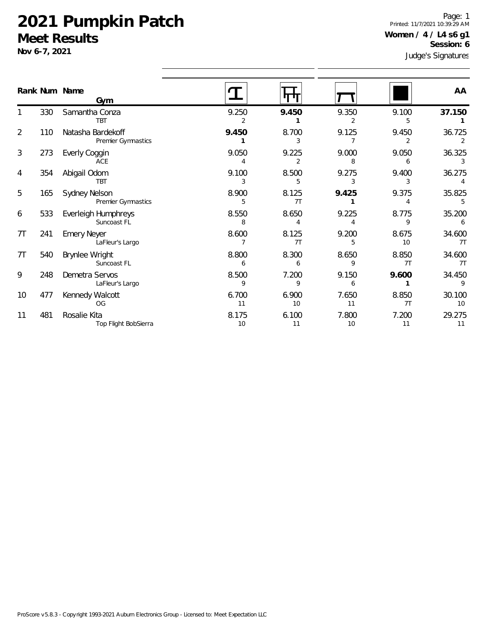1

2

3

4

5

6

7T

7T

9

10

11

Page: 1 Printed: 11/7/2021 10:39:29 AM **Women / 4 / L4 s6 g1 Session: 6**

|                | Nov 6-7, 2021 |                                                |             |                         |                         |                         | Session: 6<br>Judge's Signatures |  |
|----------------|---------------|------------------------------------------------|-------------|-------------------------|-------------------------|-------------------------|----------------------------------|--|
|                |               | Rank Num Name<br>Gym                           |             |                         |                         |                         | AA                               |  |
|                | 330           | Samantha Conza<br><b>TBT</b>                   | 9.250<br>2  | 9.450                   | 9.350<br>2              | 9.100<br>5              | 37.150                           |  |
| 2              | 110           | Natasha Bardekoff<br><b>Premier Gymnastics</b> | 9.450<br>1  | 8.700<br>3              | 9.125<br>$\overline{7}$ | 9.450<br>$\overline{2}$ | 36.725<br>2                      |  |
| 3              | 273           | Everly Coggin<br>ACE                           | 9.050<br>4  | 9.225<br>$\overline{2}$ | 9.000<br>8              | 9.050<br>6              | 36.325<br>3                      |  |
| 4              | 354           | Abigail Odom<br>TBT                            | 9.100<br>3  | 8.500<br>5              | 9.275<br>3              | 9.400<br>3              | 36.275<br>4                      |  |
| 5              | 165           | Sydney Nelson<br><b>Premier Gymnastics</b>     | 8.900<br>5  | 8.125<br>7T             | 9.425                   | 9.375<br>4              | 35.825                           |  |
| 6              | 533           | Everleigh Humphreys<br>Suncoast FL             | 8.550<br>8  | 8.650<br>4              | 9.225                   | 8.775<br>9              | 35.200<br>6                      |  |
| 7 <sub>T</sub> | 241           | <b>Emery Neyer</b><br>LaFleur's Largo          | 8.600<br>7  | 8.125<br>7T             | 9.200<br>5              | 8.675<br>10             | 34.600<br>7T                     |  |
| 7 <sub>T</sub> | 540           | Brynlee Wright<br>Suncoast FL                  | 8.800<br>6  | 8.300<br>6              | 8.650<br>9              | 8.850<br>7T             | 34.600<br>7T                     |  |
| 9              | 248           | Demetra Servos<br>LaFleur's Largo              | 8.500<br>9  | 7.200<br>9              | 9.150<br>6              | 9.600                   | 34.450<br>9                      |  |
| 10             | 477           | Kennedy Walcott<br><b>OG</b>                   | 6.700<br>11 | 6.900<br>10             | 7.650<br>11             | 8.850<br>7T             | 30.100<br>10                     |  |
| 11             | 481           | Rosalie Kita                                   | 8.175       | 6.100                   | 7.800                   | 7.200                   | 29.275                           |  |

8.175 6.100 7.800 7.200 29.275 10 11 10 11 11 11

Top Flight BobSierra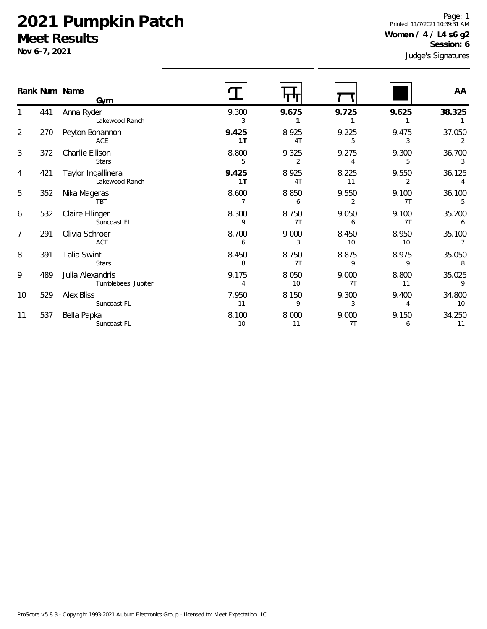1

2

5

8

11

537 Bella Papka

Suncoast FL

ures Page: 1 Printed: 11/7/2021 10:39:31 AM **Women / 4 / L4 s6 g2 Session: 6**

|                | Nov 6-7, 2021 |                                        |                         |             | <b>DESSION</b> , O<br>Judge's Signatures |                         |              |
|----------------|---------------|----------------------------------------|-------------------------|-------------|------------------------------------------|-------------------------|--------------|
|                |               | Rank Num Name<br>Gym                   |                         | 11 T T T    |                                          |                         | AA           |
| 1              | 441           | Anna Ryder<br>Lakewood Ranch           | 9.300<br>3              | 9.675       | 9.725                                    | 9.625                   | 38.325       |
| $\overline{2}$ | 270           | Peyton Bohannon<br>ACE                 | 9.425<br>1 <sub>T</sub> | 8.925<br>4T | 9.225<br>5                               | 9.475<br>3              | 37.050       |
| 3              | 372           | Charlie Ellison<br><b>Stars</b>        | 8.800<br>5              | 9.325<br>2  | 9.275                                    | 9.300<br>5              | 36.700       |
| 4              | 421           | Taylor Ingallinera<br>Lakewood Ranch   | 9.425<br>1T             | 8.925<br>4T | 8.225<br>11                              | 9.550                   | 36.125       |
| 5              | 352           | Nika Mageras<br><b>TBT</b>             | 8.600                   | 8.850<br>6  | 9.550<br>2                               | 9.100<br>7T             | 36.100       |
| 6              | 532           | Claire Ellinger<br>Suncoast FL         | 8.300<br>9              | 8.750<br>7T | 9.050<br>6                               | 9.100<br>7 <sub>T</sub> | 35.200       |
| 7              | 291           | Olivia Schroer<br>ACE                  | 8.700<br>6              | 9.000<br>3  | 8.450<br>10                              | 8.950<br>10             | 35.100       |
| 8              | 391           | Talia Swint<br><b>Stars</b>            | 8.450<br>8              | 8.750<br>7T | 8.875<br>9                               | 8.975<br>9              | 35.050<br>8  |
| 9              | 489           | Julia Alexandris<br>Tumblebees Jupiter | 9.175                   | 8.050<br>10 | 9.000<br>7T                              | 8.800<br>11             | 35.025<br>9  |
| 10             | 529           | <b>Alex Bliss</b><br>Suncoast FL       | 7.950<br>11             | 8.150<br>9  | 9.300<br>3                               | 9.400<br>4              | 34.800<br>10 |

8.100 8.000 9.000 9.150 34.250 10 11 7T 6 11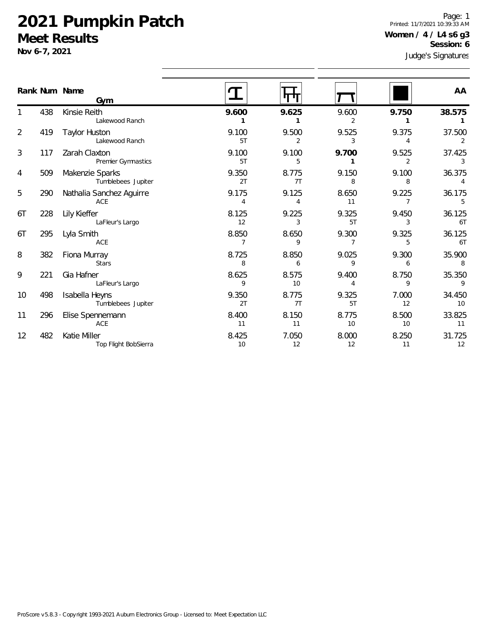**Nov 6-7, 2021**

482 Katie Miller

Top Flight BobSierra

5

6T

6T

8

9

12

Judge's Signatures Page: 1 Printed: 11/7/2021 10:39:33 AM **Women / 4 / L4 s6 g3 Session: 6**

|                |     | Rank Num Name<br>Gym                   |             |             |             |             | AA           |
|----------------|-----|----------------------------------------|-------------|-------------|-------------|-------------|--------------|
|                | 438 | Kinsie Reith<br>Lakewood Ranch         | 9.600       | 9.625       | 9.600       | 9.750       | 38.575       |
| $\overline{2}$ | 419 | <b>Taylor Huston</b><br>Lakewood Ranch | 9.100<br>5T | 9.500<br>2  | 9.525<br>3  | 9.375<br>4  | 37.500<br>2  |
| 3              | 117 | Zarah Claxton<br>Premier Gymnastics    | 9.100<br>5T | 9.100<br>5  | 9.700       | 9.525<br>2  | 37.425<br>3  |
| 4              | 509 | Makenzie Sparks<br>Tumblebees Jupiter  | 9.350<br>2T | 8.775<br>7T | 9.150<br>8  | 9.100<br>8  | 36.375<br>4  |
| 5              | 290 | Nathalia Sanchez Aguirre<br>ACE        | 9.175<br>4  | 9.125<br>4  | 8.650<br>11 | 9.225<br>7  | 36.175<br>5  |
| 6T             | 228 | Lily Kieffer<br>LaFleur's Largo        | 8.125<br>12 | 9.225<br>3  | 9.325<br>5T | 9.450<br>3  | 36.125<br>6T |
| 6T             | 295 | Lyla Smith<br><b>ACE</b>               | 8.850       | 8.650<br>Q  | 9.300       | 9.325<br>5  | 36.125<br>6T |
| 8              | 382 | Fiona Murray<br><b>Stars</b>           | 8.725<br>8  | 8.850<br>6  | 9.025<br>9  | 9.300<br>6  | 35.900<br>8  |
| 9              | 221 | Gia Hafner<br>LaFleur's Largo          | 8.625<br>9  | 8.575<br>10 | 9.400<br>4  | 8.750<br>9  | 35.350<br>9  |
| 10             | 498 | Isabella Heyns<br>Tumblebees Jupiter   | 9.350<br>2T | 8.775<br>7T | 9.325<br>5T | 7.000<br>12 | 34.450<br>10 |
| 11             | 296 | Elise Spennemann<br>ACE                | 8.400<br>11 | 8.150<br>11 | 8.775<br>10 | 8.500<br>10 | 33.825<br>11 |

8.425 7.050 8.000 8.250 31.725 10 12 12 11 12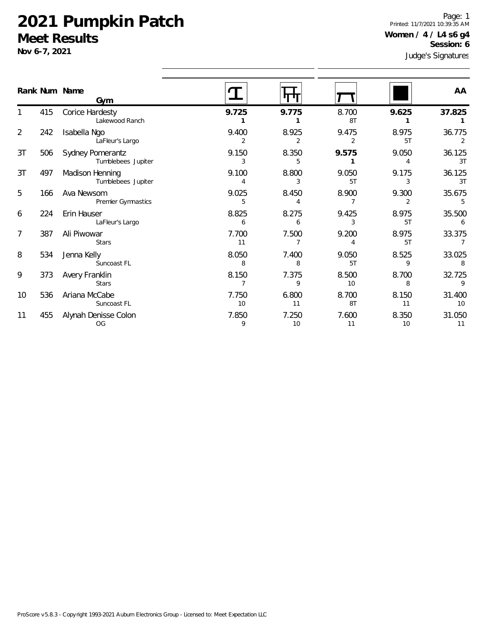**Nov 6-7, 2021**

1

2

3T

3T

5

6

7

8

Judge's Signatures Page: 1 Printed: 11/7/2021 10:39:35 AM **Women / 4 / L4 s6 g4 Session: 6**

|                |     | Rank Num Name<br>Gym                   |             |            |             |             | AA           |
|----------------|-----|----------------------------------------|-------------|------------|-------------|-------------|--------------|
|                | 415 | Corice Hardesty<br>Lakewood Ranch      | 9.725       | 9.775      | 8.700<br>8T | 9.625       | 37.825       |
| $\overline{2}$ | 242 | Isabella Ngo<br>LaFleur's Largo        | 9.400       | 8.925      | 9.475       | 8.975<br>5T | 36.775       |
| 3T             | 506 | Sydney Pomerantz<br>Tumblebees Jupiter | 9.150       | 8.350      | 9.575       | 9.050       | 36.125<br>3T |
| 3T             | 497 | Madison Henning<br>Tumblebees Jupiter  | 9.100<br>4  | 8.800<br>3 | 9.050<br>5T | 9.175<br>3  | 36.125<br>3T |
| 5              | 166 | Ava Newsom<br>Premier Gymnastics       | 9.025<br>5  | 8.450      | 8.900       | 9.300       | 35.675       |
| 6              | 224 | Erin Hauser<br>LaFleur's Largo         | 8.825<br>6  | 8.275      | 9.425       | 8.975<br>5T | 35.500       |
| 7              | 387 | Ali Piwowar<br><b>Stars</b>            | 7.700<br>11 | 7.500      | 9.200       | 8.975<br>5T | 33.375       |
| 8              | 534 | Jenna Kelly<br>Suncoast FL             | 8.050<br>8  | 7.400<br>8 | 9.050<br>5T | 8.525<br>9  | 33.025<br>8  |
| 9              | 373 | Avery Franklin<br><b>Stars</b>         | 8.150       | 7.375<br>9 | 8.500<br>10 | 8.700<br>8  | 32.725<br>9  |

| 9  | 373 | Avery Franklin<br><b>Stars</b> | 8.150       | '.375      | 8.500<br>10 | 8.700 | 32.725<br>$\Omega$        |
|----|-----|--------------------------------|-------------|------------|-------------|-------|---------------------------|
| 10 | 536 | Ariana McCabe<br>Suncoast FL   | 7.750<br>10 | 6.800      | 8.700<br>8T | 8.150 | 31.400<br>10 <sup>1</sup> |
|    | 455 | Alynah Denisse Colon<br>OG     | '.850       | .250<br>10 | .600        | 8.350 | 31.050                    |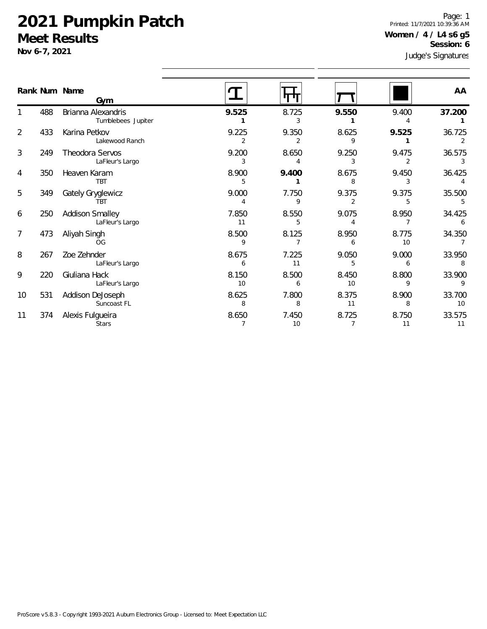1

2

3

4

5

6

7

8

9

10

11

531 Addison DeJoseph

374 Alexis Fulgueira

Suncoast FL

**Stars** 

es Page: 1 Printed: 11/7/2021 10:39:36 AM **Women / 4 / L4 s6 g5 Session: 6**

|                | Nov 6-7, 2021 |                                           |             |             |             |             |             |
|----------------|---------------|-------------------------------------------|-------------|-------------|-------------|-------------|-------------|
|                |               | Rank Num Name<br>Gym                      |             |             |             |             | AA          |
|                | 488           | Brianna Alexandris<br>Tumblebees Jupiter  | 9.525       | 8.725       | 9.550       | 9.400       | 37.200      |
| $\overline{2}$ | 433           | Karina Petkov<br>Lakewood Ranch           | 9.225<br>2  | 9.350       | 8.625<br>9  | 9.525       | 36.725      |
| 3              | 249           | Theodora Servos<br>LaFleur's Largo        | 9.200<br>3  | 8.650       | 9.250<br>3  | 9.475       | 36.575      |
| 4              | 350           | Heaven Karam<br><b>TBT</b>                | 8.900<br>5  | 9.400       | 8.675<br>8  | 9.450       | 36.425      |
| 5              | 349           | Gately Gryglewicz<br>TRT                  | 9.000<br>4  | 7.750<br>9  | 9.375<br>2  | 9.375       | 35.500      |
| 6              | 250           | <b>Addison Smalley</b><br>LaFleur's Largo | 7.850<br>11 | 8.550<br>5  | 9.075       | 8.950       | 34.425      |
| 7              | 473           | Aliyah Singh<br><b>OG</b>                 | 8.500<br>9  | 8.125       | 8.950<br>6  | 8.775<br>10 | 34.350      |
| 8              | 267           | Zoe Zehnder<br>LaFleur's Largo            | 8.675<br>6  | 7.225<br>11 | 9.050<br>5  | 9.000<br>6  | 33.950<br>8 |
| 9              | 220           | Giuliana Hack<br>LaFleur's Largo          | 8.150<br>10 | 8.500<br>6  | 8.450<br>10 | 8.800<br>9  | 33.900<br>9 |

8.625 7.800 8.375 8.900 33.700 8 8 11 8 10

8.650 7.450 8.725 8.750 33.575 7 10 7 11 11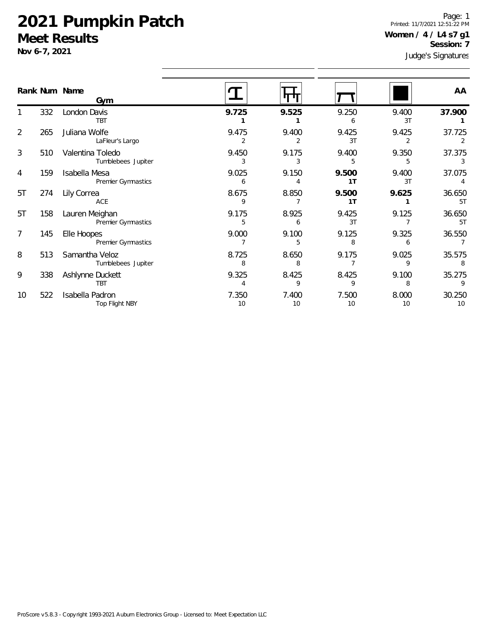**Nov 6-7, 2021**

Page: 1 Printed: 11/7/2021 12:51:22 PM **Women / 4 / L4 s7 g1 Session: 7**

Judge's Signatures

|                |     | Rank Num Name<br>Gym                   |             |             |             |             | AA           |
|----------------|-----|----------------------------------------|-------------|-------------|-------------|-------------|--------------|
|                | 332 | London Davis<br><b>TBT</b>             | 9.725       | 9.525       | 9.250<br>6  | 9.400<br>3T | 37.900       |
| $\overline{2}$ | 265 | Juliana Wolfe<br>LaFleur's Largo       | 9.475<br>2  | 9.400       | 9.425<br>3T | 9.425<br>2  | 37.725       |
| 3              | 510 | Valentina Toledo<br>Tumblebees Jupiter | 9.450<br>3  | 9.175<br>3  | 9.400<br>5  | 9.350<br>5  | 37.375<br>3  |
| 4              | 159 | Isabella Mesa<br>Premier Gymnastics    | 9.025<br>6  | 9.150       | 9.500<br>1T | 9.400<br>3T | 37.075<br>4  |
| 5T             | 274 | Lily Correa<br>ACE                     | 8.675<br>9  | 8.850       | 9.500<br>1T | 9.625       | 36.650<br>5T |
| 5T             | 158 | Lauren Meighan<br>Premier Gymnastics   | 9.175<br>5  | 8.925<br>6  | 9.425<br>3T | 9.125       | 36.650<br>5T |
| 7              | 145 | Elle Hoopes<br>Premier Gymnastics      | 9.000       | 9.100<br>5  | 9.125<br>8  | 9.325<br>6  | 36.550       |
| 8              | 513 | Samantha Veloz<br>Tumblebees Jupiter   | 8.725<br>8  | 8.650<br>8  | 9.175       | 9.025<br>9  | 35.575<br>8  |
| 9              | 338 | Ashlynne Duckett<br><b>TBT</b>         | 9.325       | 8.425<br>9  | 8.425<br>9  | 9.100<br>8  | 35.275<br>9  |
| 10             | 522 | Isabella Padron<br>Top Flight NBY      | 7.350<br>10 | 7.400<br>10 | 7.500<br>10 | 8.000<br>10 | 30.250<br>10 |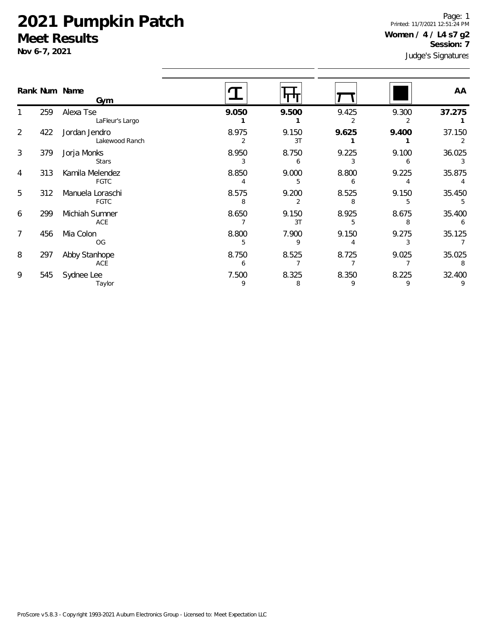**Nov 6-7, 2021**

Page: 1 Printed: 11/7/2021 12:51:24 PM **Women / 4 / L4 s7 g2 Session: 7**

Judge's Signatures

|   |     | Rank Num Name<br>Gym            |            |             |            |            | AA          |
|---|-----|---------------------------------|------------|-------------|------------|------------|-------------|
|   | 259 | Alexa Tse<br>LaFleur's Largo    | 9.050      | 9.500       | 9.425      | 9.300      | 37.275      |
| 2 | 422 | Jordan Jendro<br>Lakewood Ranch | 8.975      | 9.150<br>3T | 9.625      | 9.400      | 37.150      |
| 3 | 379 | Jorja Monks<br><b>Stars</b>     | 8.950<br>3 | 8.750<br>6  | 9.225      | 9.100      | 36.025<br>3 |
| 4 | 313 | Kamila Melendez<br><b>FGTC</b>  | 8.850      | 9.000<br>5  | 8.800<br>6 | 9.225      | 35.875      |
| 5 | 312 | Manuela Loraschi<br><b>FGTC</b> | 8.575<br>8 | 9.200<br>2  | 8.525<br>8 | 9.150      | 35.450      |
| 6 | 299 | Michiah Sumner<br>ACE           | 8.650      | 9.150<br>3T | 8.925<br>5 | 8.675<br>8 | 35.400<br>6 |
| 7 | 456 | Mia Colon<br>OG                 | 8.800<br>5 | 7.900<br>9  | 9.150      | 9.275      | 35.125      |
| 8 | 297 | Abby Stanhope<br>ACE            | 8.750<br>6 | 8.525       | 8.725      | 9.025      | 35.025<br>8 |
| 9 | 545 | Sydnee Lee<br>Taylor            | 7.500<br>9 | 8.325<br>8  | 8.350<br>9 | 8.225<br>9 | 32.400<br>9 |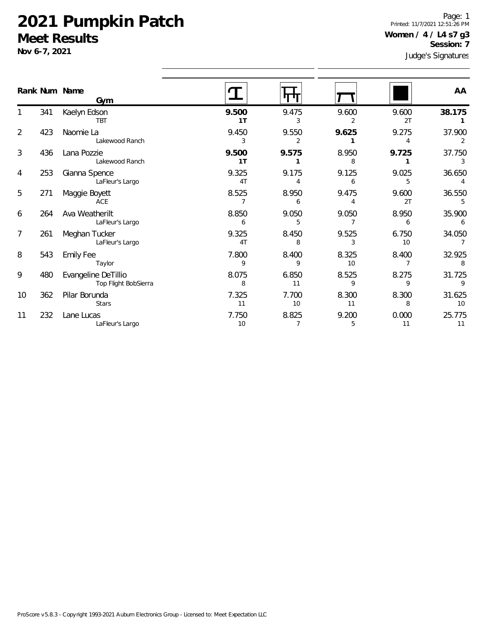**Nov 6-7, 2021**

Page: 1 Printed: 11/7/2021 12:51:26 PM **Women / 4 / L4 s7 g3 Session: 7**

Judge's Signatures

|                |     | Rank Num Name<br>Gym                        |                         |                         |             |             | AA           |
|----------------|-----|---------------------------------------------|-------------------------|-------------------------|-------------|-------------|--------------|
|                | 341 | Kaelyn Edson<br><b>TBT</b>                  | 9.500<br>1 <sub>T</sub> | 9.475<br>3              | 9.600       | 9.600<br>2T | 38.175       |
| $\overline{2}$ | 423 | Naomie La<br>Lakewood Ranch                 | 9.450<br>3              | 9.550<br>2              | 9.625       | 9.275       | 37.900<br>2  |
| 3              | 436 | Lana Pozzie<br>Lakewood Ranch               | 9.500<br>1T             | 9.575                   | 8.950<br>8  | 9.725       | 37.750<br>3  |
| 4              | 253 | Gianna Spence<br>LaFleur's Largo            | 9.325<br>4T             | 9.175<br>4              | 9.125<br>6  | 9.025<br>5  | 36.650<br>4  |
| 5              | 271 | Maggie Boyett<br>ACE                        | 8.525                   | 8.950<br>6              | 9.475<br>4  | 9.600<br>2T | 36.550<br>5  |
| 6              | 264 | Ava Weatherilt<br>LaFleur's Largo           | 8.850<br>6              | 9.050<br>5              | 9.050       | 8.950<br>6  | 35.900<br>6  |
| $\overline{7}$ | 261 | Meghan Tucker<br>LaFleur's Largo            | 9.325<br>4T             | 8.450<br>8              | 9.525<br>3  | 6.750<br>10 | 34.050       |
| 8              | 543 | <b>Emily Fee</b><br>Taylor                  | 7.800<br>9              | 8.400<br>9              | 8.325<br>10 | 8.400       | 32.925<br>8  |
| 9              | 480 | Evangeline DeTillio<br>Top Flight BobSierra | 8.075<br>8              | 6.850<br>11             | 8.525<br>9  | 8.275<br>9  | 31.725<br>9  |
| 10             | 362 | Pilar Borunda<br><b>Stars</b>               | 7.325<br>11             | 7.700<br>10             | 8.300<br>11 | 8.300<br>8  | 31.625<br>10 |
| 11             | 232 | Lane Lucas<br>LaFleur's Largo               | 7.750<br>10             | 8.825<br>$\overline{7}$ | 9.200<br>5  | 0.000<br>11 | 25.775<br>11 |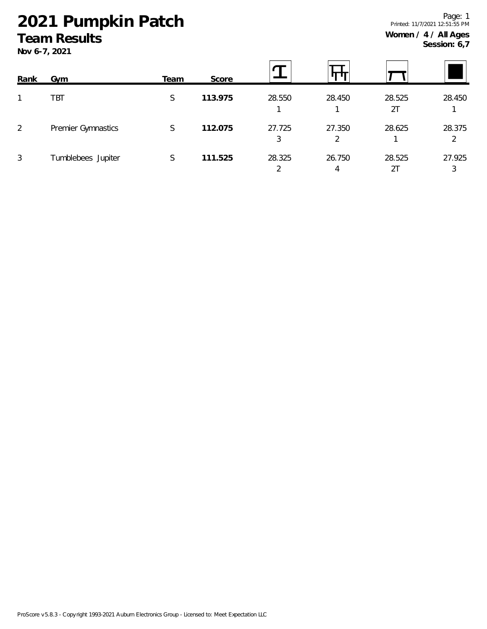# **2021 Pumpkin Patch**

## **Team Results**

**Nov 6-7, 2021**

| Rank | Gym                | Team | Score   |             |             |              |             |
|------|--------------------|------|---------|-------------|-------------|--------------|-------------|
|      | <b>TBT</b>         | S    | 113.975 | 28.550      | 28.450      | 28.525<br>2T | 28.450      |
| 2    | Premier Gymnastics | S    | 112.075 | 27.725<br>3 | 27.350<br>2 | 28.625       | 28.375<br>2 |
| 3    | Tumblebees Jupiter | S    | 111.525 | 28.325      | 26.750<br>4 | 28.525<br>21 | 27.925<br>3 |